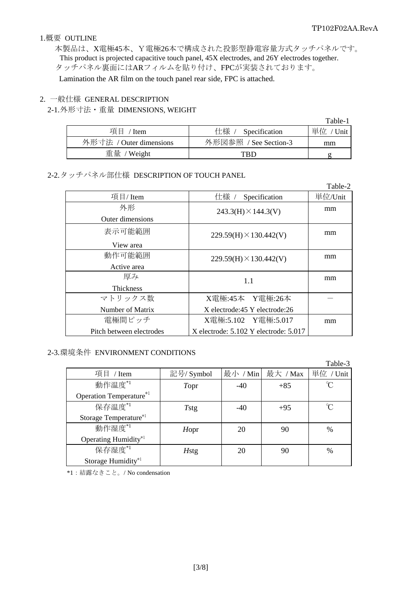#### 1.概要 OUTLINE

本製品は、X電極45本、Y電極26本で構成された投影型静電容量方式タッチパネルです。 This product is projected capacitive touch panel, 45X electrodes, and 26Y electrodes together. タッチパネル裏面にはARフィルムを貼り付け、FPCが実装されております。 Lamination the AR film on the touch panel rear side, FPC is attached.

#### 2. 一般仕様 GENERAL DESCRIPTION

#### 2-1. 外形寸法・重量 DIMENSIONS, WEIGHT

|                         |                                    | Table-1    |
|-------------------------|------------------------------------|------------|
| 項目<br>$/$ Item          | 仕様 /<br><sup>/</sup> Specification | 単位<br>Unit |
| 外形寸法 / Outer dimensions | 外形図参照 / See Section-3              | mm         |
| 重量 / Weight             | TRD                                |            |

## 2-2. タッチパネル部仕様 DESCRIPTION OF TOUCH PANEL

|                          |                                           | Table-2 |
|--------------------------|-------------------------------------------|---------|
| 項目/Item                  | 仕様 /<br>Specification                     | 単位/Unit |
| 外形                       | $243.3(H) \times 144.3(V)$                | mm      |
| Outer dimensions         |                                           |         |
| 表示可能範囲                   | $229.59(H) \times 130.442(V)$             | mm      |
| View area                |                                           |         |
| 動作可能範囲                   | $229.59(H) \times 130.442(V)$             | mm      |
| Active area              |                                           |         |
| 厚み                       | 1.1                                       | mm      |
| <b>Thickness</b>         |                                           |         |
| マトリックス数                  | X電極:45本 Y電極:26本                           |         |
| Number of Matrix         | X electrode:45 Y electrode:26             |         |
| 電極間ピッチ                   | X電極:5.102 Y電極:5.017                       | mm      |
| Pitch between electrodes | X electrode: $5.102$ Y electrode: $5.017$ |         |

#### 2-3. 環境条件 ENVIRONMENT CONDITIONS

|                                |              |          |          | Table-3       |
|--------------------------------|--------------|----------|----------|---------------|
| 項目 / Item                      | 記号/ Symbol   | 最小 / Min | 最大 / Max | 単位 / Unit     |
| 動作温度*1                         | Topr         | $-40$    | $+85$    | U             |
| Operation Temperature*1        |              |          |          |               |
| 保存温度*1                         | <b>T</b> stg | $-40$    | $+95$    |               |
| Storage Temperature*1          |              |          |          |               |
| 動作湿度*1                         | Hopr         | 20       | 90       | $\%$          |
| Operating Humidity*1           |              |          |          |               |
| 保存湿度*1                         | <b>H</b> stg | 20       | 90       | $\frac{0}{0}$ |
| Storage Humidity <sup>*1</sup> |              |          |          |               |

\*1:結露なきこと。/ No condensation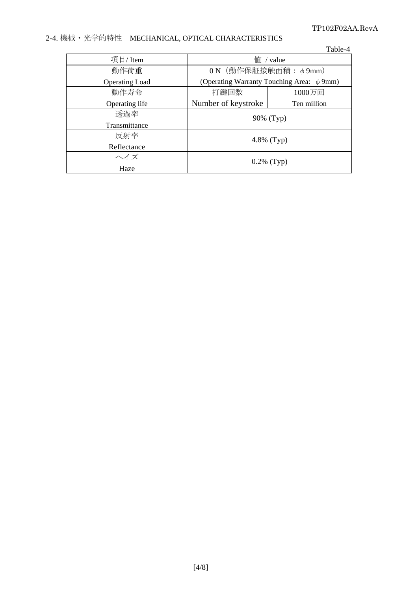### TP102F02AA.RevA

# 2-4. 機械・光学的特性 MECHANICAL, OPTICAL CHARACTERISTICS

|                       |                                                  | Table-4     |  |
|-----------------------|--------------------------------------------------|-------------|--|
| 項目/Item               | $f$ <sup><math>\frac{d}{dx}</math></sup> / value |             |  |
| 動作荷重                  | ON (動作保証接触面積: φ9mm)                              |             |  |
| <b>Operating Load</b> | (Operating Warranty Touching Area: $\phi$ 9mm)   |             |  |
| 動作寿命                  | 打鍵回数                                             | 1000万回      |  |
| Operating life        | Number of keystroke                              | Ten million |  |
| 透過率                   | 90% (Typ)                                        |             |  |
| Transmittance         |                                                  |             |  |
| 反射率                   | 4.8% $(Typ)$                                     |             |  |
| Reflectance           |                                                  |             |  |
| ヘイズ                   | $0.2\%$ (Typ)                                    |             |  |
| Haze                  |                                                  |             |  |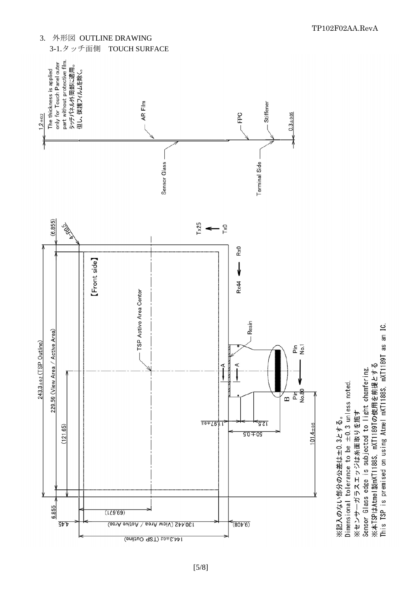

[5/8]

TP102F02AA.RevA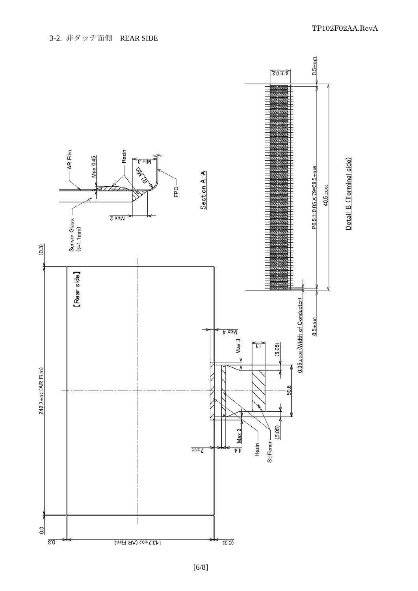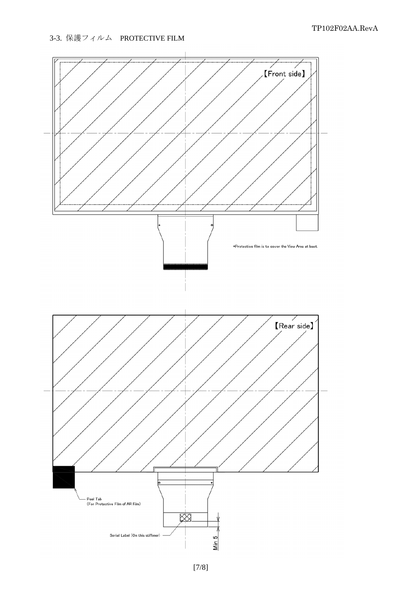